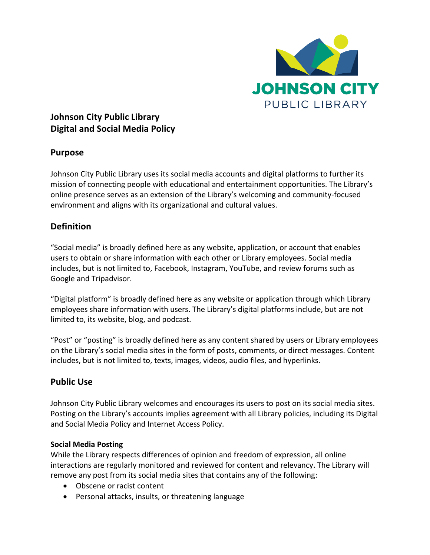

# **Johnson City Public Library Digital and Social Media Policy**

## **Purpose**

Johnson City Public Library uses its social media accounts and digital platforms to further its mission of connecting people with educational and entertainment opportunities. The Library's online presence serves as an extension of the Library's welcoming and community-focused environment and aligns with its organizational and cultural values.

## **Definition**

"Social media" is broadly defined here as any website, application, or account that enables users to obtain or share information with each other or Library employees. Social media includes, but is not limited to, Facebook, Instagram, YouTube, and review forums such as Google and Tripadvisor.

"Digital platform" is broadly defined here as any website or application through which Library employees share information with users. The Library's digital platforms include, but are not limited to, its website, blog, and podcast.

"Post" or "posting" is broadly defined here as any content shared by users or Library employees on the Library's social media sites in the form of posts, comments, or direct messages. Content includes, but is not limited to, texts, images, videos, audio files, and hyperlinks.

## **Public Use**

Johnson City Public Library welcomes and encourages its users to post on its social media sites. Posting on the Library's accounts implies agreement with all Library policies, including its Digital and Social Media Policy and Internet Access Policy.

### **Social Media Posting**

While the Library respects differences of opinion and freedom of expression, all online interactions are regularly monitored and reviewed for content and relevancy. The Library will remove any post from its social media sites that contains any of the following:

- Obscene or racist content
- Personal attacks, insults, or threatening language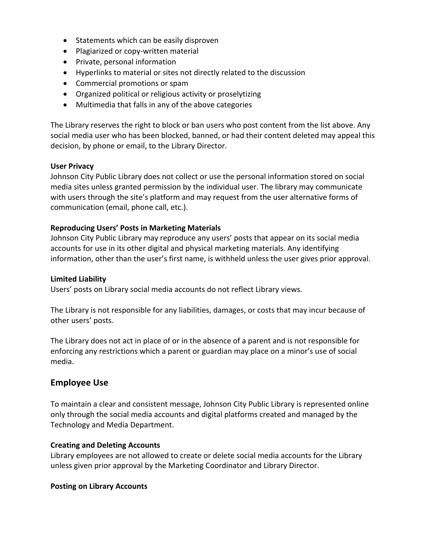- Statements which can be easily disproven
- Plagiarized or copy-written material
- Private, personal information
- Hyperlinks to material or sites not directly related to the discussion
- Commercial promotions or spam
- Organized political or religious activity or proselytizing
- Multimedia that falls in any of the above categories

The Library reserves the right to block or ban users who post content from the list above. Any social media user who has been blocked, banned, or had their content deleted may appeal this decision, by phone or email, to the Library Director.

#### **User Privacy**

Johnson City Public Library does not collect or use the personal information stored on social media sites unless granted permission by the individual user. The library may communicate with users through the site's platform and may request from the user alternative forms of communication (email, phone call, etc.).

#### **Reproducing Users' Posts in Marketing Materials**

Johnson City Public Library may reproduce any users' posts that appear on its social media accounts for use in its other digital and physical marketing materials. Any identifying information, other than the user's first name, is withheld unless the user gives prior approval.

#### **Limited Liability**

Users' posts on Library social media accounts do not reflect Library views.

The Library is not responsible for any liabilities, damages, or costs that may incur because of other users' posts.

The Library does not act in place of or in the absence of a parent and is not responsible for enforcing any restrictions which a parent or guardian may place on a minor's use of social media.

### **Employee Use**

To maintain a clear and consistent message, Johnson City Public Library is represented online only through the social media accounts and digital platforms created and managed by the Technology and Media Department.

#### **Creating and Deleting Accounts**

Library employees are not allowed to create or delete social media accounts for the Library unless given prior approval by the Marketing Coordinator and Library Director.

#### **Posting on Library Accounts**